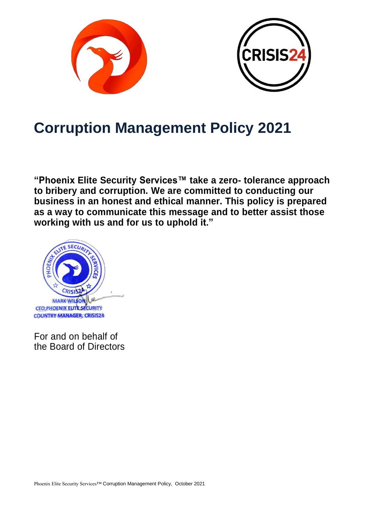



# **Corruption Management Policy 2021**

**"Phoenix Elite Security Services™ take a zero- tolerance approach to bribery and corruption. We are committed to conducting our business in an honest and ethical manner. This policy is prepared as a way to communicate this message and to better assist those working with us and for us to uphold it."**



For and on behalf of the Board of Directors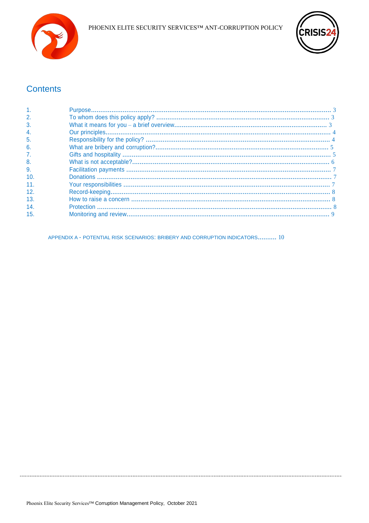



# **Contents**

| $\overline{2}$ . |  |
|------------------|--|
| 3.               |  |
| $\overline{4}$   |  |
| 5.               |  |
| 6.               |  |
| 7 <sub>1</sub>   |  |
| 8.               |  |
| 9.               |  |
| 10.              |  |
| 11.              |  |
| 12.              |  |
| 13.              |  |
| 14.              |  |
| 15.              |  |

APPENDIX A - POTENTIAL RISK SCENARIOS: BRIBERY AND CORRUPTION INDICATORS.......... 10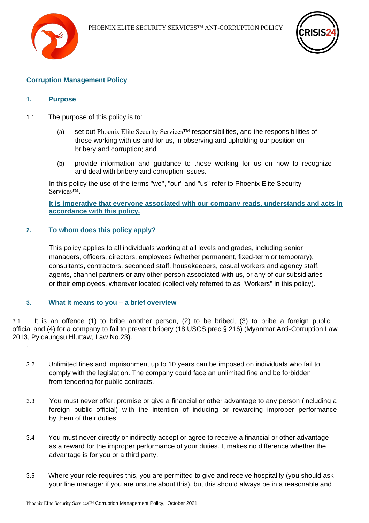

# **Corruption Management Policy**

#### **1. Purpose**

.

- 1.1 The purpose of this policy is to:
	- (a) set out Phoenix Elite Security Services™ responsibilities, and the responsibilities of those working with us and for us, in observing and upholding our position on bribery and corruption; and
	- (b) provide information and guidance to those working for us on how to recognize and deal with bribery and corruption issues.

In this policy the use of the terms "we", "our" and "us" refer to Phoenix Elite Security Services™.

**It is imperative that everyone associated with our company reads, understands and acts in accordance with this policy.**

#### **2. To whom does this policy apply?**

This policy applies to all individuals working at all levels and grades, including senior managers, officers, directors, employees (whether permanent, fixed-term or temporary), consultants, contractors, seconded staff, housekeepers, casual workers and agency staff, agents, channel partners or any other person associated with us, or any of our subsidiaries or their employees, wherever located (collectively referred to as "Workers" in this policy).

### **3. What it means to you – a brief overview**

3.1 It is an offence (1) to bribe another person, (2) to be bribed, (3) to bribe a foreign public official and (4) for a company to fail to prevent bribery (18 USCS prec § 216) (Myanmar Anti‐Corruption Law 2013, Pyidaungsu Hluttaw, Law No.23).

- 3.2 Unlimited fines and imprisonment up to 10 years can be imposed on individuals who fail to comply with the legislation. The company could face an unlimited fine and be forbidden from tendering for public contracts.
- 3.3 You must never offer, promise or give a financial or other advantage to any person (including a foreign public official) with the intention of inducing or rewarding improper performance by them of their duties.
- 3.4 You must never directly or indirectly accept or agree to receive a financial or other advantage as a reward for the improper performance of your duties. It makes no difference whether the advantage is for you or a third party.
- 3.5 Where your role requires this, you are permitted to give and receive hospitality (you should ask your line manager if you are unsure about this), but this should always be in a reasonable and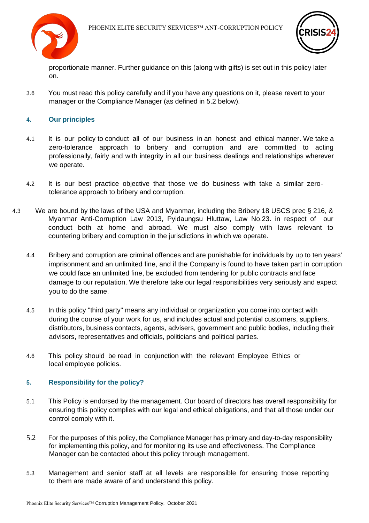



proportionate manner. Further guidance on this (along with gifts) is set out in this policy later on.

3.6 You must read this policy carefully and if you have any questions on it, please revert to your manager or the Compliance Manager (as defined in 5.2 below).

## **4. Our principles**

- 4.1 It is our policy to conduct all of our business in an honest and ethical manner. We take a zero-tolerance approach to bribery and corruption and are committed to acting professionally, fairly and with integrity in all our business dealings and relationships wherever we operate.
- 4.2 It is our best practice objective that those we do business with take a similar zerotolerance approach to bribery and corruption.
- 4.3 We are bound by the laws of the USA and Myanmar, including the Bribery 18 USCS prec § 216, & Myanmar Anti‐Corruption Law 2013, Pyidaungsu Hluttaw, Law No.23. in respect of our conduct both at home and abroad. We must also comply with laws relevant to countering bribery and corruption in the jurisdictions in which we operate.
	- 4.4 Bribery and corruption are criminal offences and are punishable for individuals by up to ten years' imprisonment and an unlimited fine, and if the Company is found to have taken part in corruption we could face an unlimited fine, be excluded from tendering for public contracts and face damage to our reputation. We therefore take our legal responsibilities very seriously and expect you to do the same.
	- 4.5 In this policy "third party" means any individual or organization you come into contact with during the course of your work for us, and includes actual and potential customers, suppliers, distributors, business contacts, agents, advisers, government and public bodies, including their advisors, representatives and officials, politicians and political parties.
	- 4.6 This policy should be read in conjunction with the relevant Employee Ethics or local employee policies.

### **5. Responsibility for the policy?**

- 5.1 This Policy is endorsed by the management. Our board of directors has overall responsibility for ensuring this policy complies with our legal and ethical obligations, and that all those under our control comply with it.
- 5.2 For the purposes of this policy, the Compliance Manager has primary and day-to-day responsibility for implementing this policy, and for monitoring its use and effectiveness. The Compliance Manager can be contacted about this policy through management.
- 5.3 Management and senior staff at all levels are responsible for ensuring those reporting to them are made aware of and understand this policy.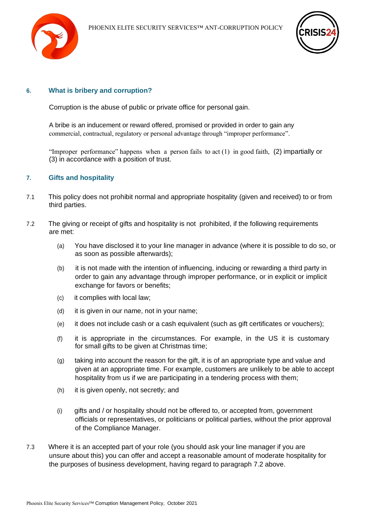



### **6. What is bribery and corruption?**

Corruption is the abuse of public or private office for personal gain.

A bribe is an inducement or reward offered, promised or provided in order to gain any commercial, contractual, regulatory or personal advantage through "improper performance".

"Improper performance" happens when a person fails to act  $(1)$  in good faith,  $(2)$  impartially or (3) in accordance with a position of trust.

### **7. Gifts and hospitality**

- 7.1 This policy does not prohibit normal and appropriate hospitality (given and received) to or from third parties.
- 7.2 The giving or receipt of gifts and hospitality is not prohibited, if the following requirements are met:
	- (a) You have disclosed it to your line manager in advance (where it is possible to do so, or as soon as possible afterwards);
	- (b) it is not made with the intention of influencing, inducing or rewarding a third party in order to gain any advantage through improper performance, or in explicit or implicit exchange for favors or benefits;
	- (c) it complies with local law;
	- (d) it is given in our name, not in your name;
	- (e) it does not include cash or a cash equivalent (such as gift certificates or vouchers);
	- (f) it is appropriate in the circumstances. For example, in the US it is customary for small gifts to be given at Christmas time;
	- (g) taking into account the reason for the gift, it is of an appropriate type and value and given at an appropriate time. For example, customers are unlikely to be able to accept hospitality from us if we are participating in a tendering process with them;
	- (h) it is given openly, not secretly; and
	- (i) gifts and / or hospitality should not be offered to, or accepted from, government officials or representatives, or politicians or political parties, without the prior approval of the Compliance Manager.
- 7.3 Where it is an accepted part of your role (you should ask your line manager if you are unsure about this) you can offer and accept a reasonable amount of moderate hospitality for the purposes of business development, having regard to paragraph 7.2 above.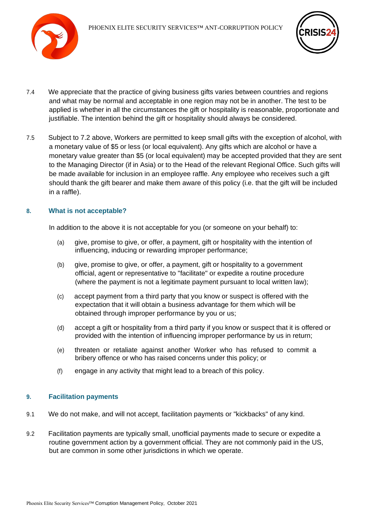



- 7.4 We appreciate that the practice of giving business gifts varies between countries and regions and what may be normal and acceptable in one region may not be in another. The test to be applied is whether in all the circumstances the gift or hospitality is reasonable, proportionate and justifiable. The intention behind the gift or hospitality should always be considered.
- 7.5 Subject to 7.2 above, Workers are permitted to keep small gifts with the exception of alcohol, with a monetary value of \$5 or less (or local equivalent). Any gifts which are alcohol or have a monetary value greater than \$5 (or local equivalent) may be accepted provided that they are sent to the Managing Director (if in Asia) or to the Head of the relevant Regional Office. Such gifts will be made available for inclusion in an employee raffle. Any employee who receives such a gift should thank the gift bearer and make them aware of this policy (i.e. that the gift will be included in a raffle).

### **8. What is not acceptable?**

In addition to the above it is not acceptable for you (or someone on your behalf) to:

- (a) give, promise to give, or offer, a payment, gift or hospitality with the intention of influencing, inducing or rewarding improper performance;
- (b) give, promise to give, or offer, a payment, gift or hospitality to a government official, agent or representative to "facilitate" or expedite a routine procedure (where the payment is not a legitimate payment pursuant to local written law);
- (c) accept payment from a third party that you know or suspect is offered with the expectation that it will obtain a business advantage for them which will be obtained through improper performance by you or us;
- (d) accept a gift or hospitality from a third party if you know or suspect that it is offered or provided with the intention of influencing improper performance by us in return;
- (e) threaten or retaliate against another Worker who has refused to commit a bribery offence or who has raised concerns under this policy; or
- (f) engage in any activity that might lead to a breach of this policy.

### **9. Facilitation payments**

- 9.1 We do not make, and will not accept, facilitation payments or "kickbacks" of any kind.
- 9.2 Facilitation payments are typically small, unofficial payments made to secure or expedite a routine government action by a government official. They are not commonly paid in the US, but are common in some other jurisdictions in which we operate.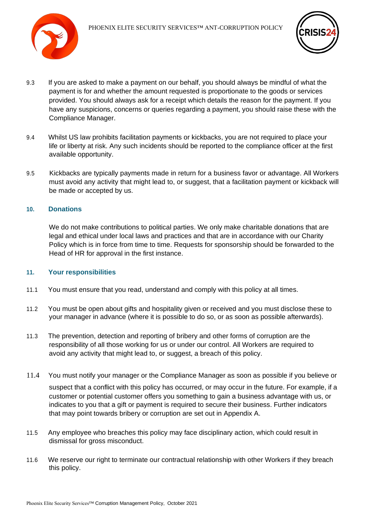



- 9.3 If you are asked to make a payment on our behalf, you should always be mindful of what the payment is for and whether the amount requested is proportionate to the goods or services provided. You should always ask for a receipt which details the reason for the payment. If you have any suspicions, concerns or queries regarding a payment, you should raise these with the Compliance Manager.
- 9.4 Whilst US law prohibits facilitation payments or kickbacks, you are not required to place your life or liberty at risk. Any such incidents should be reported to the compliance officer at the first available opportunity.
- 9.5 Kickbacks are typically payments made in return for a business favor or advantage. All Workers must avoid any activity that might lead to, or suggest, that a facilitation payment or kickback will be made or accepted by us.

### **10. Donations**

We do not make contributions to political parties. We only make charitable donations that are legal and ethical under local laws and practices and that are in accordance with our Charity Policy which is in force from time to time. Requests for sponsorship should be forwarded to the Head of HR for approval in the first instance.

### **11. Your responsibilities**

- 11.1 You must ensure that you read, understand and comply with this policy at all times.
- 11.2 You must be open about gifts and hospitality given or received and you must disclose these to your manager in advance (where it is possible to do so, or as soon as possible afterwards).
- 11.3 The prevention, detection and reporting of bribery and other forms of corruption are the responsibility of all those working for us or under our control. All Workers are required to avoid any activity that might lead to, or suggest, a breach of this policy.
- 11.4 You must notify your manager or the Compliance Manager as soon as possible if you believe or suspect that a conflict with this policy has occurred, or may occur in the future. For example, if a customer or potential customer offers you something to gain a business advantage with us, or indicates to you that a gift or payment is required to secure their business. Further indicators that may point towards bribery or corruption are set out in Appendix A.
- 11.5 Any employee who breaches this policy may face disciplinary action, which could result in dismissal for gross misconduct.
- 11.6 We reserve our right to terminate our contractual relationship with other Workers if they breach this policy.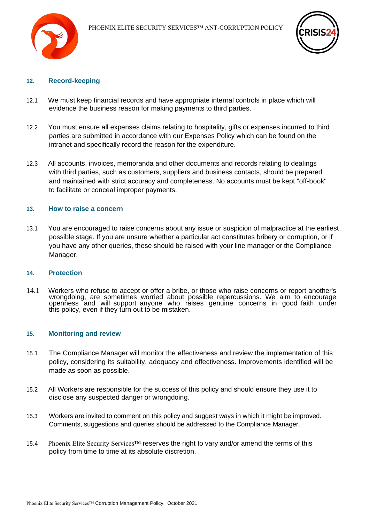



#### **12. Record-keeping**

- 12.1 We must keep financial records and have appropriate internal controls in place which will evidence the business reason for making payments to third parties.
- 12.2 You must ensure all expenses claims relating to hospitality, gifts or expenses incurred to third parties are submitted in accordance with our Expenses Policy which can be found on the intranet and specifically record the reason for the expenditure.
- 12.3 All accounts, invoices, memoranda and other documents and records relating to dealings with third parties, such as customers, suppliers and business contacts, should be prepared and maintained with strict accuracy and completeness. No accounts must be kept "off-book" to facilitate or conceal improper payments.

#### **13. How to raise a concern**

13.1 You are encouraged to raise concerns about any issue or suspicion of malpractice at the earliest possible stage. If you are unsure whether a particular act constitutes bribery or corruption, or if you have any other queries, these should be raised with your line manager or the Compliance Manager.

#### **14. Protection**

14.1 Workers who refuse to accept or offer a bribe, or those who raise concerns or report another's wrongdoing, are sometimes worried about possible repercussions. We aim to encourage openness and will support anyone who raises genuine concerns in good faith under this policy, even if they turn out to be mistaken.

#### **15. Monitoring and review**

- 15.1 The Compliance Manager will monitor the effectiveness and review the implementation of this policy, considering its suitability, adequacy and effectiveness. Improvements identified will be made as soon as possible.
- 15.2 All Workers are responsible for the success of this policy and should ensure they use it to disclose any suspected danger or wrongdoing.
- 15.3 Workers are invited to comment on this policy and suggest ways in which it might be improved. Comments, suggestions and queries should be addressed to the Compliance Manager.
- 15.4 Phoenix Elite Security Services™ reserves the right to vary and/or amend the terms of this policy from time to time at its absolute discretion.